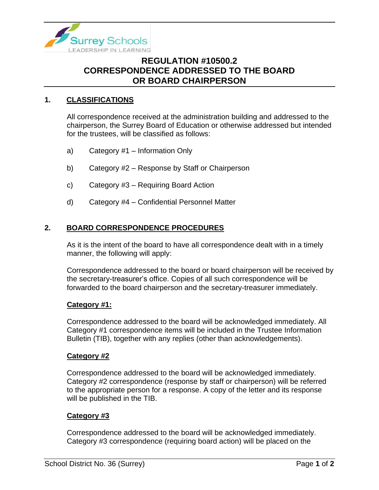

# **REGULATION #10500.2 CORRESPONDENCE ADDRESSED TO THE BOARD OR BOARD CHAIRPERSON**

## **1. CLASSIFICATIONS**

All correspondence received at the administration building and addressed to the chairperson, the Surrey Board of Education or otherwise addressed but intended for the trustees, will be classified as follows:

- a) Category #1 Information Only
- b) Category #2 Response by Staff or Chairperson
- c) Category #3 Requiring Board Action
- d) Category #4 Confidential Personnel Matter

### **2. BOARD CORRESPONDENCE PROCEDURES**

As it is the intent of the board to have all correspondence dealt with in a timely manner, the following will apply:

Correspondence addressed to the board or board chairperson will be received by the secretary-treasurer's office. Copies of all such correspondence will be forwarded to the board chairperson and the secretary-treasurer immediately.

#### **Category #1:**

Correspondence addressed to the board will be acknowledged immediately. All Category #1 correspondence items will be included in the Trustee Information Bulletin (TIB), together with any replies (other than acknowledgements).

#### **Category #2**

Correspondence addressed to the board will be acknowledged immediately. Category #2 correspondence (response by staff or chairperson) will be referred to the appropriate person for a response. A copy of the letter and its response will be published in the TIB.

#### **Category #3**

Correspondence addressed to the board will be acknowledged immediately. Category #3 correspondence (requiring board action) will be placed on the